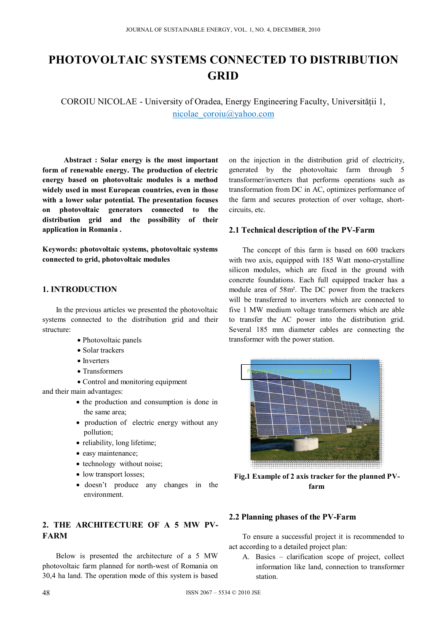# **PHOTOVOLTAIC SYSTEMS CONNECTED TO DISTRIBUTION GRID**

COROIU NICOLAE - University of Oradea, Energy Engineering Faculty, Universităţii 1, nicolae\_coroiu@yahoo.com

**Abstract : Solar energy is the most important form of renewable energy. The production of electric energy based on photovoltaic modules is a method widely used in most European countries, even in those with a lower solar potential. The presentation focuses on photovoltaic generators connected to the distribution grid and the possibility of their application in Romania .** 

**Keywords: photovoltaic systems, photovoltaic systems connected to grid, photovoltaic modules** 

## **1. INTRODUCTION**

In the previous articles we presented the photovoltaic systems connected to the distribution grid and their structure:

- Photovoltaic panels
- Solar trackers
- Inverters
- Transformers
- Control and monitoring equipment

and their main advantages:

- the production and consumption is done in the same area;
- production of electric energy without any pollution;
- reliability, long lifetime;
- easy maintenance;
- technology without noise;
- low transport losses;
- doesn't produce any changes in the environment.

## **2. THE ARCHITECTURE OF A 5 MW PV-FARM**

Below is presented the architecture of a 5 MW photovoltaic farm planned for north-west of Romania on 30,4 ha land. The operation mode of this system is based on the injection in the distribution grid of electricity, generated by the photovoltaic farm through 5 transformer/inverters that performs operations such as transformation from DC in AC, optimizes performance of the farm and secures protection of over voltage, shortcircuits, etc.

### **2.1 Technical description of the PV-Farm**

The concept of this farm is based on 600 trackers with two axis, equipped with 185 Watt mono-crystalline silicon modules, which are fixed in the ground with concrete foundations. Each full equipped tracker has a module area of 58m². The DC power from the trackers will be transferred to inverters which are connected to five 1 MW medium voltage transformers which are able to transfer the AC power into the distribution grid. Several 185 mm diameter cables are connecting the transformer with the power station.



**Fig.1 Example of 2 axis tracker for the planned PVfarm** 

## **2.2 Planning phases of the PV-Farm**

To ensure a successful project it is recommended to act according to a detailed project plan:

A. Basics – clarification scope of project, collect information like land, connection to transformer station.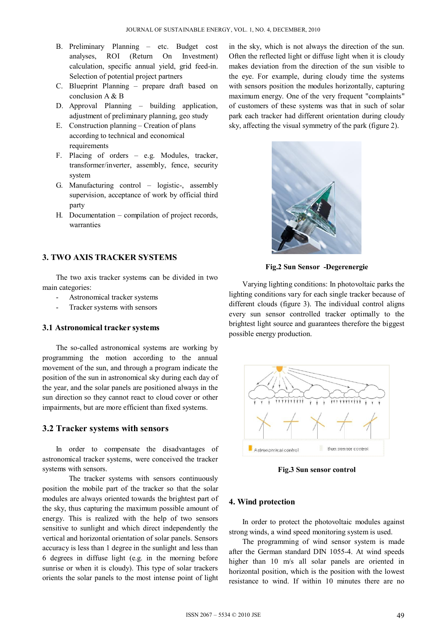- B. Preliminary Planning etc. Budget cost analyses, ROI (Return On Investment) calculation, specific annual yield, grid feed-in. Selection of potential project partners
- C. Blueprint Planning prepare draft based on conclusion A & B
- D. Approval Planning building application, adjustment of preliminary planning, geo study
- E. Construction planning Creation of plans according to technical and economical requirements
- F. Placing of orders e.g. Modules, tracker, transformer/inverter, assembly, fence, security system
- G. Manufacturing control logistic-, assembly supervision, acceptance of work by official third party
- H. Documentation compilation of project records, warranties

## **3. TWO AXIS TRACKER SYSTEMS**

The two axis tracker systems can be divided in two main categories:

- Astronomical tracker systems
- Tracker systems with sensors

#### **3.1 Astronomical tracker systems**

The so-called astronomical systems are working by programming the motion according to the annual movement of the sun, and through a program indicate the position of the sun in astronomical sky during each day of the year, and the solar panels are positioned always in the sun direction so they cannot react to cloud cover or other impairments, but are more efficient than fixed systems.

#### **3.2 Tracker systems with sensors**

In order to compensate the disadvantages of astronomical tracker systems, were conceived the tracker systems with sensors.

The tracker systems with sensors continuously position the mobile part of the tracker so that the solar modules are always oriented towards the brightest part of the sky, thus capturing the maximum possible amount of energy. This is realized with the help of two sensors sensitive to sunlight and which direct independently the vertical and horizontal orientation of solar panels. Sensors accuracy is less than 1 degree in the sunlight and less than 6 degrees in diffuse light (e.g. in the morning before sunrise or when it is cloudy). This type of solar trackers orients the solar panels to the most intense point of light

in the sky, which is not always the direction of the sun. Often the reflected light or diffuse light when it is cloudy makes deviation from the direction of the sun visible to the eye. For example, during cloudy time the systems with sensors position the modules horizontally, capturing maximum energy. One of the very frequent "complaints" of customers of these systems was that in such of solar park each tracker had different orientation during cloudy sky, affecting the visual symmetry of the park (figure 2).



**Fig.2 Sun Sensor -Degerenergie** 

Varying lighting conditions: In photovoltaic parks the lighting conditions vary for each single tracker because of different clouds (figure 3). The individual control aligns every sun sensor controlled tracker optimally to the brightest light source and guarantees therefore the biggest possible energy production.



**Fig.3 Sun sensor control** 

#### **4. Wind protection**

In order to protect the photovoltaic modules against strong winds, a wind speed monitoring system is used.

The programming of wind sensor system is made after the German standard DIN 1055-4. At wind speeds higher than 10 m/s all solar panels are oriented in horizontal position, which is the position with the lowest resistance to wind. If within 10 minutes there are no